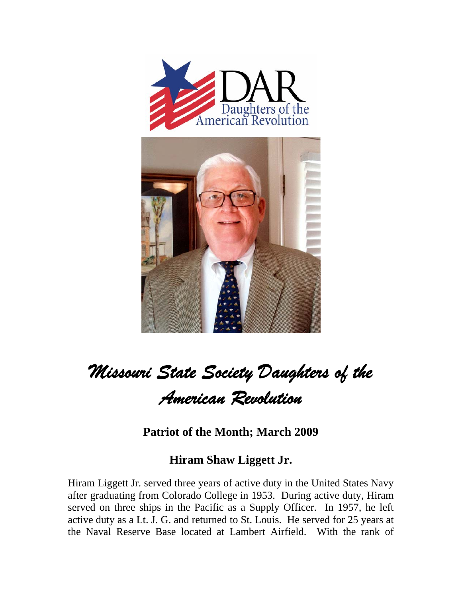



## *Missouri State Society Daughters of the American Revolution*

**Patriot of the Month; March 2009** 

## **Hiram Shaw Liggett Jr.**

Hiram Liggett Jr. served three years of active duty in the United States Navy after graduating from Colorado College in 1953. During active duty, Hiram served on three ships in the Pacific as a Supply Officer. In 1957, he left active duty as a Lt. J. G. and returned to St. Louis. He served for 25 years at the Naval Reserve Base located at Lambert Airfield. With the rank of